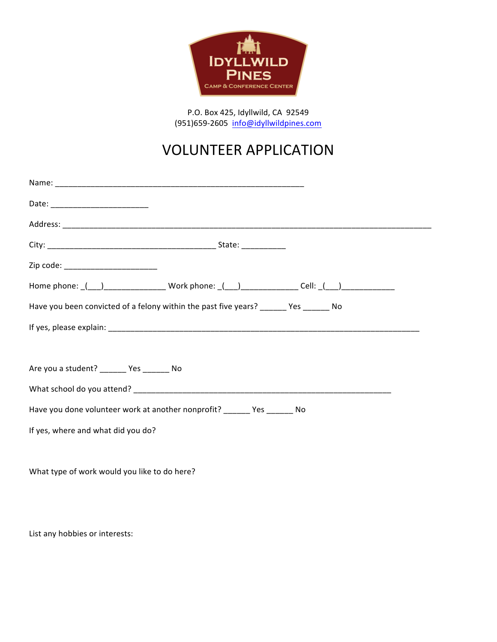

P.O. Box 425, Idyllwild, CA 92549 (951)659-2605 info@idyllwildpines.com

## VOLUNTEER APPLICATION

| Zip code: __________________________                                                   |  |  |  |  |
|----------------------------------------------------------------------------------------|--|--|--|--|
|                                                                                        |  |  |  |  |
| Have you been convicted of a felony within the past five years? _______ Yes _______ No |  |  |  |  |
|                                                                                        |  |  |  |  |
|                                                                                        |  |  |  |  |
| Are you a student? _______ Yes _______ No                                              |  |  |  |  |
|                                                                                        |  |  |  |  |
| Have you done volunteer work at another nonprofit? ______ Yes ______ No                |  |  |  |  |
| If yes, where and what did you do?                                                     |  |  |  |  |
|                                                                                        |  |  |  |  |
| What type of work would you like to do here?                                           |  |  |  |  |
|                                                                                        |  |  |  |  |

List any hobbies or interests: